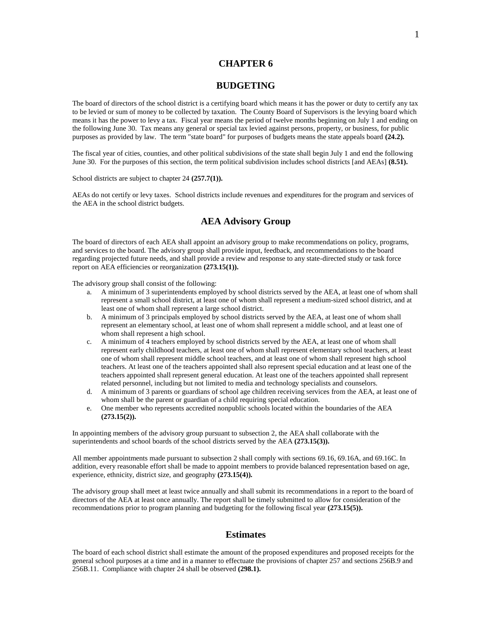# **CHAPTER 6**

### **BUDGETING**

The board of directors of the school district is a certifying board which means it has the power or duty to certify any tax to be levied or sum of money to be collected by taxation. The County Board of Supervisors is the levying board which means it has the power to levy a tax. Fiscal year means the period of twelve months beginning on July 1 and ending on the following June 30. Tax means any general or special tax levied against persons, property, or business, for public purposes as provided by law. The term "state board" for purposes of budgets means the state appeals board **(24.2).**

The fiscal year of cities, counties, and other political subdivisions of the state shall begin July 1 and end the following June 30. For the purposes of this section, the term political subdivision includes school districts [and AEAs] **(8.51).**

School districts are subject to chapter 24 **(257.7(1)).**

AEAs do not certify or levy taxes. School districts include revenues and expenditures for the program and services of the AEA in the school district budgets.

# **AEA Advisory Group**

The board of directors of each AEA shall appoint an advisory group to make recommendations on policy, programs, and services to the board. The advisory group shall provide input, feedback, and recommendations to the board regarding projected future needs, and shall provide a review and response to any state-directed study or task force report on AEA efficiencies or reorganization **(273.15(1)).**

The advisory group shall consist of the following:

- a. A minimum of 3 superintendents employed by school districts served by the AEA, at least one of whom shall represent a small school district, at least one of whom shall represent a medium-sized school district, and at least one of whom shall represent a large school district.
- b. A minimum of 3 principals employed by school districts served by the AEA, at least one of whom shall represent an elementary school, at least one of whom shall represent a middle school, and at least one of whom shall represent a high school.
- c. A minimum of 4 teachers employed by school districts served by the AEA, at least one of whom shall represent early childhood teachers, at least one of whom shall represent elementary school teachers, at least one of whom shall represent middle school teachers, and at least one of whom shall represent high school teachers. At least one of the teachers appointed shall also represent special education and at least one of the teachers appointed shall represent general education. At least one of the teachers appointed shall represent related personnel, including but not limited to media and technology specialists and counselors.
- d. A minimum of 3 parents or guardians of school age children receiving services from the AEA, at least one of whom shall be the parent or guardian of a child requiring special education.
- e. One member who represents accredited nonpublic schools located within the boundaries of the AEA **(273.15(2)).**

In appointing members of the advisory group pursuant to subsection 2, the AEA shall collaborate with the superintendents and school boards of the school districts served by the AEA **(273.15(3)**).

All member appointments made pursuant to subsection 2 shall comply with sections 69.16, 69.16A, and 69.16C. In addition, every reasonable effort shall be made to appoint members to provide balanced representation based on age, experience, ethnicity, district size, and geography **(273.15(4)).**

The advisory group shall meet at least twice annually and shall submit its recommendations in a report to the board of directors of the AEA at least once annually. The report shall be timely submitted to allow for consideration of the recommendations prior to program planning and budgeting for the following fiscal year **(273.15(5)).**

### **Estimates**

The board of each school district shall estimate the amount of the proposed expenditures and proposed receipts for the general school purposes at a time and in a manner to effectuate the provisions of chapter 257 and sections 256B.9 and 256B.11. Compliance with chapter 24 shall be observed **(298.1).**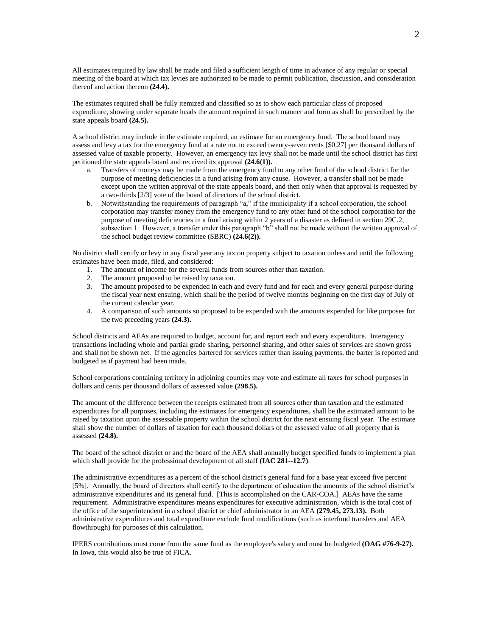All estimates required by law shall be made and filed a sufficient length of time in advance of any regular or special meeting of the board at which tax levies are authorized to be made to permit publication, discussion, and consideration thereof and action thereon **(24.4).**

The estimates required shall be fully itemized and classified so as to show each particular class of proposed expenditure, showing under separate heads the amount required in such manner and form as shall be prescribed by the state appeals board **(24.5).**

A school district may include in the estimate required, an estimate for an emergency fund. The school board may assess and levy a tax for the emergency fund at a rate not to exceed twenty-seven cents [\$0.27] per thousand dollars of assessed value of taxable property. However, an emergency tax levy shall not be made until the school district has first petitioned the state appeals board and received its approval **(24.6(1)).**

- a. Transfers of moneys may be made from the emergency fund to any other fund of the school district for the purpose of meeting deficiencies in a fund arising from any cause. However, a transfer shall not be made except upon the written approval of the state appeals board, and then only when that approval is requested by a two-thirds [2/3] vote of the board of directors of the school district.
- b. Notwithstanding the requirements of paragraph "a," if the municipality if a school corporation, the school corporation may transfer money from the emergency fund to any other fund of the school corporation for the purpose of meeting deficiencies in a fund arising within 2 years of a disaster as defined in section 29C.2, subsection 1. However, a transfer under this paragraph "b" shall not be made without the written approval of the school budget review committee (SBRC) **(24.6(2)).**

No district shall certify or levy in any fiscal year any tax on property subject to taxation unless and until the following estimates have been made, filed, and considered:

- 1. The amount of income for the several funds from sources other than taxation.
- 2. The amount proposed to be raised by taxation.
- 3. The amount proposed to be expended in each and every fund and for each and every general purpose during the fiscal year next ensuing, which shall be the period of twelve months beginning on the first day of July of the current calendar year.
- 4. A comparison of such amounts so proposed to be expended with the amounts expended for like purposes for the two preceding years **(24.3).**

School districts and AEAs are required to budget, account for, and report each and every expenditure. Interagency transactions including whole and partial grade sharing, personnel sharing, and other sales of services are shown gross and shall not be shown net. If the agencies bartered for services rather than issuing payments, the barter is reported and budgeted as if payment had been made.

School corporations containing territory in adjoining counties may vote and estimate all taxes for school purposes in dollars and cents per thousand dollars of assessed value **(298.5).**

The amount of the difference between the receipts estimated from all sources other than taxation and the estimated expenditures for all purposes, including the estimates for emergency expenditures, shall be the estimated amount to be raised by taxation upon the assessable property within the school district for the next ensuing fiscal year. The estimate shall show the number of dollars of taxation for each thousand dollars of the assessed value of all property that is assessed **(24.8).**

The board of the school district or and the board of the AEA shall annually budget specified funds to implement a plan which shall provide for the professional development of all staff **(IAC 281--12.7)**.

The administrative expenditures as a percent of the school district's general fund for a base year exceed five percent [5%]. Annually, the board of directors shall certify to the department of education the amounts of the school district's administrative expenditures and its general fund. [This is accomplished on the CAR-COA.] AEAs have the same requirement. Administrative expenditures means expenditures for executive administration, which is the total cost of the office of the superintendent in a school district or chief administrator in an AEA **(279.45, 273.13).** Both administrative expenditures and total expenditure exclude fund modifications (such as interfund transfers and AEA flowthrough) for purposes of this calculation.

IPERS contributions must come from the same fund as the employee's salary and must be budgeted **(OAG #76-9-27).**  In Iowa, this would also be true of FICA.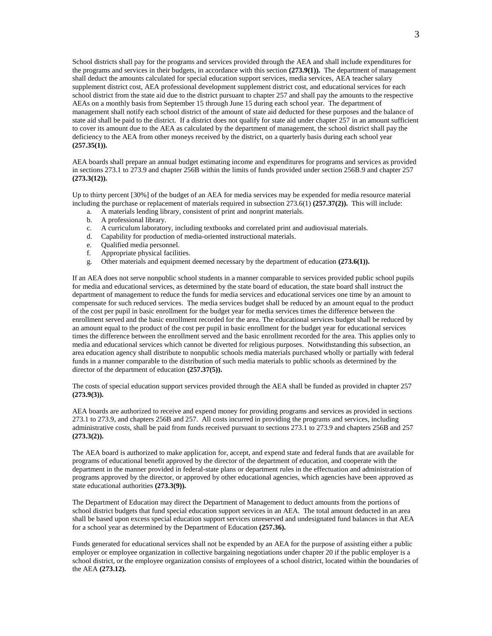School districts shall pay for the programs and services provided through the AEA and shall include expenditures for the programs and services in their budgets, in accordance with this section **(273.9(1)).** The department of management shall deduct the amounts calculated for special education support services, media services, AEA teacher salary supplement district cost, AEA professional development supplement district cost, and educational services for each school district from the state aid due to the district pursuant to chapter 257 and shall pay the amounts to the respective AEAs on a monthly basis from September 15 through June 15 during each school year. The department of management shall notify each school district of the amount of state aid deducted for these purposes and the balance of state aid shall be paid to the district. If a district does not qualify for state aid under chapter 257 in an amount sufficient to cover its amount due to the AEA as calculated by the department of management, the school district shall pay the deficiency to the AEA from other moneys received by the district, on a quarterly basis during each school year **(257.35(1)).**

AEA boards shall prepare an annual budget estimating income and expenditures for programs and services as provided in sections 273.1 to 273.9 and chapter 256B within the limits of funds provided under section 256B.9 and chapter 257 **(273.3(12)).**

Up to thirty percent [30%] of the budget of an AEA for media services may be expended for media resource material including the purchase or replacement of materials required in subsection 273.6(1) **(257.37(2)).** This will include:

- a. A materials lending library, consistent of print and nonprint materials.
- b. A professional library.
- c. A curriculum laboratory, including textbooks and correlated print and audiovisual materials.
- d. Capability for production of media-oriented instructional materials.<br>e. Qualified media personnel.
- e. Qualified media personnel.
- f. Appropriate physical facilities.
- g. Other materials and equipment deemed necessary by the department of education **(273.6(1)).**

If an AEA does not serve nonpublic school students in a manner comparable to services provided public school pupils for media and educational services, as determined by the state board of education, the state board shall instruct the department of management to reduce the funds for media services and educational services one time by an amount to compensate for such reduced services. The media services budget shall be reduced by an amount equal to the product of the cost per pupil in basic enrollment for the budget year for media services times the difference between the enrollment served and the basic enrollment recorded for the area. The educational services budget shall be reduced by an amount equal to the product of the cost per pupil in basic enrollment for the budget year for educational services times the difference between the enrollment served and the basic enrollment recorded for the area. This applies only to media and educational services which cannot be diverted for religious purposes. Notwithstanding this subsection, an area education agency shall distribute to nonpublic schools media materials purchased wholly or partially with federal funds in a manner comparable to the distribution of such media materials to public schools as determined by the director of the department of education **(257.37(5)).**

The costs of special education support services provided through the AEA shall be funded as provided in chapter 257 **(273.9(3)).**

AEA boards are authorized to receive and expend money for providing programs and services as provided in sections 273.1 to 273.9, and chapters 256B and 257. All costs incurred in providing the programs and services, including administrative costs, shall be paid from funds received pursuant to sections 273.1 to 273.9 and chapters 256B and 257 **(273.3(2)).**

The AEA board is authorized to make application for, accept, and expend state and federal funds that are available for programs of educational benefit approved by the director of the department of education, and cooperate with the department in the manner provided in federal-state plans or department rules in the effectuation and administration of programs approved by the director, or approved by other educational agencies, which agencies have been approved as state educational authorities **(273.3(9)).**

The Department of Education may direct the Department of Management to deduct amounts from the portions of school district budgets that fund special education support services in an AEA. The total amount deducted in an area shall be based upon excess special education support services unreserved and undesignated fund balances in that AEA for a school year as determined by the Department of Education **(257.36).**

Funds generated for educational services shall not be expended by an AEA for the purpose of assisting either a public employer or employee organization in collective bargaining negotiations under chapter 20 if the public employer is a school district, or the employee organization consists of employees of a school district, located within the boundaries of the AEA **(273.12).**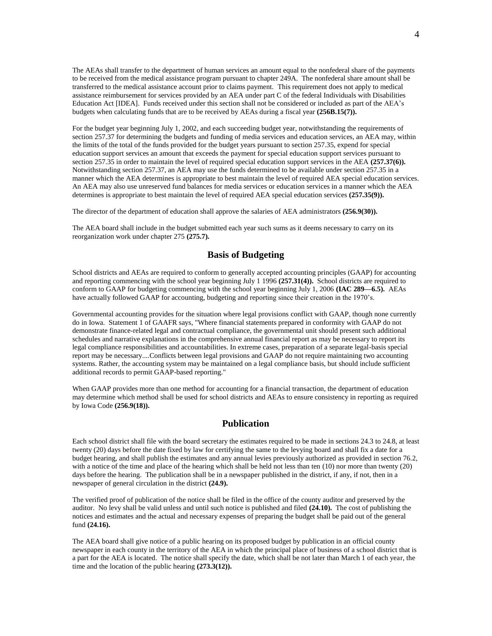The AEAs shall transfer to the department of human services an amount equal to the nonfederal share of the payments to be received from the medical assistance program pursuant to chapter 249A. The nonfederal share amount shall be transferred to the medical assistance account prior to claims payment. This requirement does not apply to medical assistance reimbursement for services provided by an AEA under part C of the federal Individuals with Disabilities Education Act [IDEA]. Funds received under this section shall not be considered or included as part of the AEA's budgets when calculating funds that are to be received by AEAs during a fiscal year **(256B.15(7)).**

For the budget year beginning July 1, 2002, and each succeeding budget year, notwithstanding the requirements of section 257.37 for determining the budgets and funding of media services and education services, an AEA may, within the limits of the total of the funds provided for the budget years pursuant to section 257.35, expend for special education support services an amount that exceeds the payment for special education support services pursuant to section 257.35 in order to maintain the level of required special education support services in the AEA **(257.37(6)).**  Notwithstanding section 257.37, an AEA may use the funds determined to be available under section 257.35 in a manner which the AEA determines is appropriate to best maintain the level of required AEA special education services. An AEA may also use unreserved fund balances for media services or education services in a manner which the AEA determines is appropriate to best maintain the level of required AEA special education services **(257.35(9)).**

The director of the department of education shall approve the salaries of AEA administrators **(256.9(30)).**

The AEA board shall include in the budget submitted each year such sums as it deems necessary to carry on its reorganization work under chapter 275 **(275.7).**

### **Basis of Budgeting**

School districts and AEAs are required to conform to generally accepted accounting principles (GAAP) for accounting and reporting commencing with the school year beginning July 1 1996 **(257.31(4)).** School districts are required to conform to GAAP for budgeting commencing with the school year beginning July 1, 2006 **(IAC 289—6.5).** AEAs have actually followed GAAP for accounting, budgeting and reporting since their creation in the 1970's.

Governmental accounting provides for the situation where legal provisions conflict with GAAP, though none currently do in Iowa. Statement 1 of GAAFR says, "Where financial statements prepared in conformity with GAAP do not demonstrate finance-related legal and contractual compliance, the governmental unit should present such additional schedules and narrative explanations in the comprehensive annual financial report as may be necessary to report its legal compliance responsibilities and accountabilities. In extreme cases, preparation of a separate legal-basis special report may be necessary....Conflicts between legal provisions and GAAP do not require maintaining two accounting systems. Rather, the accounting system may be maintained on a legal compliance basis, but should include sufficient additional records to permit GAAP-based reporting."

When GAAP provides more than one method for accounting for a financial transaction, the department of education may determine which method shall be used for school districts and AEAs to ensure consistency in reporting as required by Iowa Code **(256.9(18)).**

### **Publication**

Each school district shall file with the board secretary the estimates required to be made in sections 24.3 to 24.8, at least twenty (20) days before the date fixed by law for certifying the same to the levying board and shall fix a date for a budget hearing, and shall publish the estimates and any annual levies previously authorized as provided in section 76.2, with a notice of the time and place of the hearing which shall be held not less than ten (10) nor more than twenty (20) days before the hearing. The publication shall be in a newspaper published in the district, if any, if not, then in a newspaper of general circulation in the district **(24.9).**

The verified proof of publication of the notice shall be filed in the office of the county auditor and preserved by the auditor. No levy shall be valid unless and until such notice is published and filed **(24.10).** The cost of publishing the notices and estimates and the actual and necessary expenses of preparing the budget shall be paid out of the general fund **(24.16).**

The AEA board shall give notice of a public hearing on its proposed budget by publication in an official county newspaper in each county in the territory of the AEA in which the principal place of business of a school district that is a part for the AEA is located. The notice shall specify the date, which shall be not later than March 1 of each year, the time and the location of the public hearing **(273.3(12)).**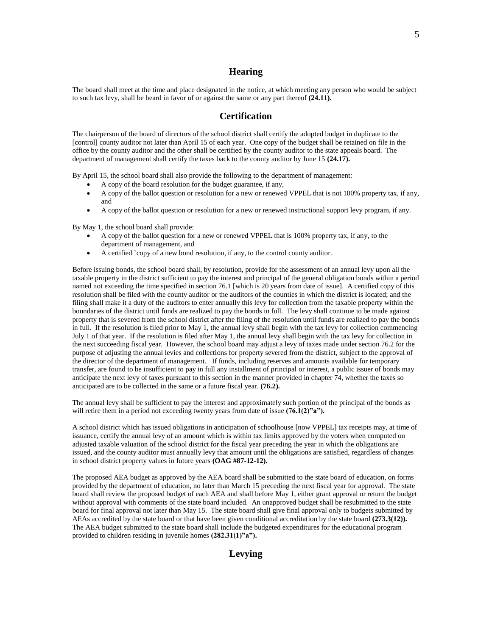# **Hearing**

The board shall meet at the time and place designated in the notice, at which meeting any person who would be subject to such tax levy, shall be heard in favor of or against the same or any part thereof **(24.11).**

### **Certification**

The chairperson of the board of directors of the school district shall certify the adopted budget in duplicate to the [control] county auditor not later than April 15 of each year. One copy of the budget shall be retained on file in the office by the county auditor and the other shall be certified by the county auditor to the state appeals board. The department of management shall certify the taxes back to the county auditor by June 15 **(24.17).**

By April 15, the school board shall also provide the following to the department of management:

- A copy of the board resolution for the budget guarantee, if any,
- A copy of the ballot question or resolution for a new or renewed VPPEL that is not 100% property tax, if any, and
- A copy of the ballot question or resolution for a new or renewed instructional support levy program, if any.

By May 1, the school board shall provide:

- A copy of the ballot question for a new or renewed VPPEL that is 100% property tax, if any, to the department of management, and
- A certified `copy of a new bond resolution, if any, to the control county auditor.

Before issuing bonds, the school board shall, by resolution, provide for the assessment of an annual levy upon all the taxable property in the district sufficient to pay the interest and principal of the general obligation bonds within a period named not exceeding the time specified in section 76.1 [which is 20 years from date of issue]. A certified copy of this resolution shall be filed with the county auditor or the auditors of the counties in which the district is located; and the filing shall make it a duty of the auditors to enter annually this levy for collection from the taxable property within the boundaries of the district until funds are realized to pay the bonds in full. The levy shall continue to be made against property that is severed from the school district after the filing of the resolution until funds are realized to pay the bonds in full. If the resolution is filed prior to May 1, the annual levy shall begin with the tax levy for collection commencing July 1 of that year. If the resolution is filed after May 1, the annual levy shall begin with the tax levy for collection in the next succeeding fiscal year. However, the school board may adjust a levy of taxes made under section 76.2 for the purpose of adjusting the annual levies and collections for property severed from the district, subject to the approval of the director of the department of management. If funds, including reserves and amounts available for temporary transfer, are found to be insufficient to pay in full any installment of principal or interest, a public issuer of bonds may anticipate the next levy of taxes pursuant to this section in the manner provided in chapter 74, whether the taxes so anticipated are to be collected in the same or a future fiscal year. **(76.2).**

The annual levy shall be sufficient to pay the interest and approximately such portion of the principal of the bonds as will retire them in a period not exceeding twenty years from date of issue **(76.1(2)"a").**

A school district which has issued obligations in anticipation of schoolhouse [now VPPEL] tax receipts may, at time of issuance, certify the annual levy of an amount which is within tax limits approved by the voters when computed on adjusted taxable valuation of the school district for the fiscal year preceding the year in which the obligations are issued, and the county auditor must annually levy that amount until the obligations are satisfied, regardless of changes in school district property values in future years **(OAG #87-12-12).**

The proposed AEA budget as approved by the AEA board shall be submitted to the state board of education, on forms provided by the department of education, no later than March 15 preceding the next fiscal year for approval. The state board shall review the proposed budget of each AEA and shall before May 1, either grant approval or return the budget without approval with comments of the state board included. An unapproved budget shall be resubmitted to the state board for final approval not later than May 15. The state board shall give final approval only to budgets submitted by AEAs accredited by the state board or that have been given conditional accreditation by the state board **(273.3(12)).**  The AEA budget submitted to the state board shall include the budgeted expenditures for the educational program provided to children residing in juvenile homes **(282.31(1)"a").**

# **Levying**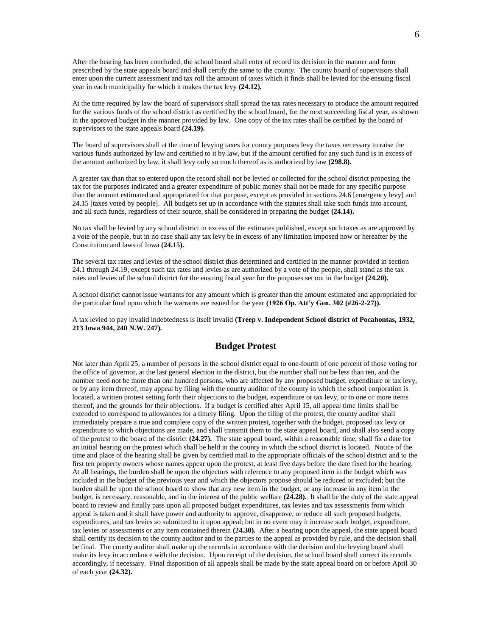After the hearing has been concluded, the school board shall enter of record its decision in the manner and form prescribed by the state appeals board and shall certify the same to the county. The county board of supervisors shall enter upon the current assessment and tax roll the amount of taxes which it finds shall be levied for the ensuing fiscal year in each municipality for which it makes the tax levy **(24.12).**

At the time required by law the board of supervisors shall spread the tax rates necessary to produce the amount required for the various funds of the school district as certified by the school board, for the next succeeding fiscal year, as shown in the approved budget in the manner provided by law. One copy of the tax rates shall be certified by the board of supervisors to the state appeals board **(24.19).**

The board of supervisors shall at the time of levying taxes for county purposes levy the taxes necessary to raise the various funds authorized by law and certified to it by law, but if the amount certified for any such fund is in excess of the amount authorized by law, it shall levy only so much thereof as is authorized by law **(298.8).**

A greater tax than that so entered upon the record shall not be levied or collected for the school district proposing the tax for the purposes indicated and a greater expenditure of public money shall not be made for any specific purpose than the amount estimated and appropriated for that purpose, except as provided in sections 24.6 [emergency levy] and 24.15 [taxes voted by people]. All budgets set up in accordance with the statutes shall take such funds into account, and all such funds, regardless of their source, shall be considered in preparing the budget **(24.14).**

No tax shall be levied by any school district in excess of the estimates published, except such taxes as are approved by a vote of the people, but in no case shall any tax levy be in excess of any limitation imposed now or hereafter by the Constitution and laws of Iowa **(24.15).**

The several tax rates and levies of the school district thus determined and certified in the manner provided in section 24.1 through 24.19, except such tax rates and levies as are authorized by a vote of the people, shall stand as the tax rates and levies of the school district for the ensuing fiscal year for the purposes set out in the budget **(24.20).**

A school district cannot issue warrants for any amount which is greater than the amount estimated and appropriated for the particular fund upon which the warrants are issued for the year  $(1926$  Op. Att'y Gen. 302  $(\#26-2-27)$ ).

A tax levied to pay invalid indebtedness is itself invalid **(Treep v. Independent School district of Pocahontas, 1932, 213 Iowa 944, 240 N.W. 247).**

# **Budget Protest**

Not later than April 25, a number of persons in the school district equal to one-fourth of one percent of those voting for the office of governor, at the last general election in the district, but the number shall not be less than ten, and the number need not be more than one hundred persons, who are affected by any proposed budget, expenditure or tax levy, or by any item thereof, may appeal by filing with the county auditor of the county in which the school corporation is located, a written protest setting forth their objections to the budget, expenditure or tax levy, or to one or more items thereof, and the grounds for their objections. If a budget is certified after April 15, all appeal time limits shall be extended to correspond to allowances for a timely filing. Upon the filing of the protest, the county auditor shall immediately prepare a true and complete copy of the written protest, together with the budget, proposed tax levy or expenditure to which objections are made, and shall transmit them to the state appeal board, and shall also send a copy of the protest to the board of the district **(24.27).** The state appeal board, within a reasonable time, shall fix a date for an initial hearing on the protest which shall be held in the county in which the school district is located. Notice of the time and place of the hearing shall be given by certified mail to the appropriate officials of the school district and to the first ten property owners whose names appear upon the protest, at least five days before the date fixed for the hearing. At all hearings, the burden shall be upon the objectors with reference to any proposed item in the budget which was included in the budget of the previous year and which the objectors propose should be reduced or excluded; but the burden shall be upon the school board to show that any new item in the budget, or any increase in any item in the budget, is necessary, reasonable, and in the interest of the public welfare **(24.28).** It shall be the duty of the state appeal board to review and finally pass upon all proposed budget expenditures, tax levies and tax assessments from which appeal is taken and it shall have power and authority to approve, disapprove, or reduce all such proposed budgets, expenditures, and tax levies so submitted to it upon appeal; but in no event may it increase such budget, expenditure, tax levies or assessments or any item contained therein **(24.30).** After a hearing upon the appeal, the state appeal board shall certify its decision to the county auditor and to the parties to the appeal as provided by rule, and the decision shall be final. The county auditor shall make up the records in accordance with the decision and the levying board shall make its levy in accordance with the decision. Upon receipt of the decision, the school board shall correct its records accordingly, if necessary. Final disposition of all appeals shall be made by the state appeal board on or before April 30 of each year **(24.32).**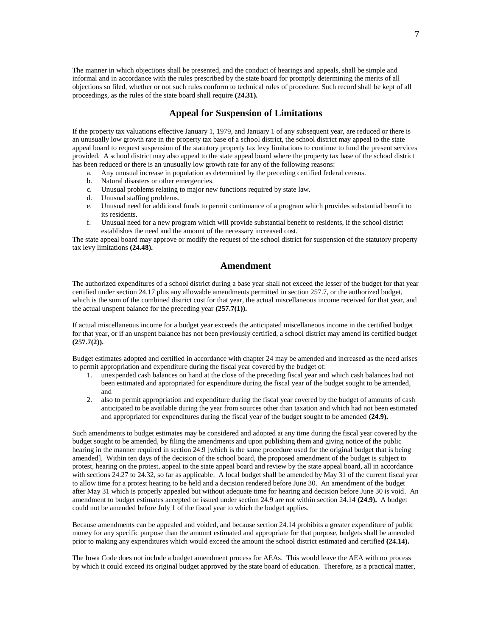The manner in which objections shall be presented, and the conduct of hearings and appeals, shall be simple and informal and in accordance with the rules prescribed by the state board for promptly determining the merits of all objections so filed, whether or not such rules conform to technical rules of procedure. Such record shall be kept of all proceedings, as the rules of the state board shall require **(24.31).**

### **Appeal for Suspension of Limitations**

If the property tax valuations effective January 1, 1979, and January 1 of any subsequent year, are reduced or there is an unusually low growth rate in the property tax base of a school district, the school district may appeal to the state appeal board to request suspension of the statutory property tax levy limitations to continue to fund the present services provided. A school district may also appeal to the state appeal board where the property tax base of the school district has been reduced or there is an unusually low growth rate for any of the following reasons:

- a. Any unusual increase in population as determined by the preceding certified federal census.
- b. Natural disasters or other emergencies.<br>c. Unusual problems relating to maior new
- Unusual problems relating to major new functions required by state law.
- d. Unusual staffing problems.
- e. Unusual need for additional funds to permit continuance of a program which provides substantial benefit to its residents.
- f. Unusual need for a new program which will provide substantial benefit to residents, if the school district establishes the need and the amount of the necessary increased cost.

The state appeal board may approve or modify the request of the school district for suspension of the statutory property tax levy limitations **(24.48).**

### **Amendment**

The authorized expenditures of a school district during a base year shall not exceed the lesser of the budget for that year certified under section 24.17 plus any allowable amendments permitted in section 257.7, or the authorized budget, which is the sum of the combined district cost for that year, the actual miscellaneous income received for that year, and the actual unspent balance for the preceding year **(257.7(1)).**

If actual miscellaneous income for a budget year exceeds the anticipated miscellaneous income in the certified budget for that year, or if an unspent balance has not been previously certified, a school district may amend its certified budget **(257.7(2)).**

Budget estimates adopted and certified in accordance with chapter 24 may be amended and increased as the need arises to permit appropriation and expenditure during the fiscal year covered by the budget of:

- 1. unexpended cash balances on hand at the close of the preceding fiscal year and which cash balances had not been estimated and appropriated for expenditure during the fiscal year of the budget sought to be amended, and
- 2. also to permit appropriation and expenditure during the fiscal year covered by the budget of amounts of cash anticipated to be available during the year from sources other than taxation and which had not been estimated and appropriated for expenditures during the fiscal year of the budget sought to be amended **(24.9).**

Such amendments to budget estimates may be considered and adopted at any time during the fiscal year covered by the budget sought to be amended, by filing the amendments and upon publishing them and giving notice of the public hearing in the manner required in section 24.9 [which is the same procedure used for the original budget that is being amended]. Within ten days of the decision of the school board, the proposed amendment of the budget is subject to protest, hearing on the protest, appeal to the state appeal board and review by the state appeal board, all in accordance with sections 24.27 to 24.32, so far as applicable. A local budget shall be amended by May 31 of the current fiscal year to allow time for a protest hearing to be held and a decision rendered before June 30. An amendment of the budget after May 31 which is properly appealed but without adequate time for hearing and decision before June 30 is void. An amendment to budget estimates accepted or issued under section 24.9 are not within section 24.14 **(24.9).** A budget could not be amended before July 1 of the fiscal year to which the budget applies.

Because amendments can be appealed and voided, and because section 24.14 prohibits a greater expenditure of public money for any specific purpose than the amount estimated and appropriate for that purpose, budgets shall be amended prior to making any expenditures which would exceed the amount the school district estimated and certified **(24.14).**

The Iowa Code does not include a budget amendment process for AEAs. This would leave the AEA with no process by which it could exceed its original budget approved by the state board of education. Therefore, as a practical matter,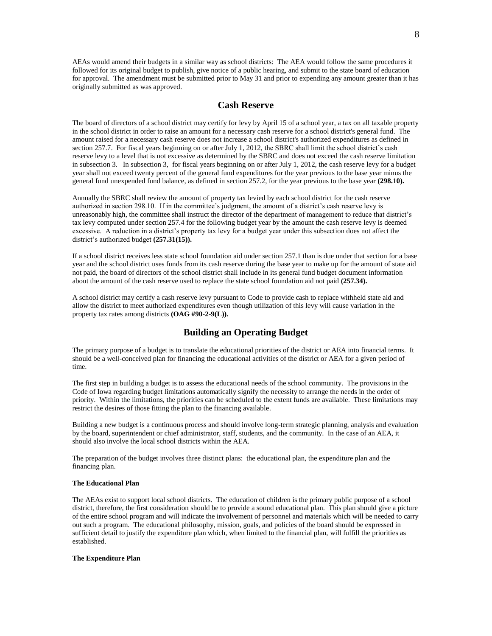AEAs would amend their budgets in a similar way as school districts: The AEA would follow the same procedures it followed for its original budget to publish, give notice of a public hearing, and submit to the state board of education for approval. The amendment must be submitted prior to May 31 and prior to expending any amount greater than it has originally submitted as was approved.

### **Cash Reserve**

The board of directors of a school district may certify for levy by April 15 of a school year, a tax on all taxable property in the school district in order to raise an amount for a necessary cash reserve for a school district's general fund. The amount raised for a necessary cash reserve does not increase a school district's authorized expenditures as defined in section 257.7. For fiscal years beginning on or after July 1, 2012, the SBRC shall limit the school district's cash reserve levy to a level that is not excessive as determined by the SBRC and does not exceed the cash reserve limitation in subsection 3. In subsection 3, for fiscal years beginning on or after July 1, 2012, the cash reserve levy for a budget year shall not exceed twenty percent of the general fund expenditures for the year previous to the base year minus the general fund unexpended fund balance, as defined in section 257.2, for the year previous to the base year **(298.10).**

Annually the SBRC shall review the amount of property tax levied by each school district for the cash reserve authorized in section 298.10. If in the committee's judgment, the amount of a district's cash reserve levy is unreasonably high, the committee shall instruct the director of the department of management to reduce that district's tax levy computed under section 257.4 for the following budget year by the amount the cash reserve levy is deemed excessive. A reduction in a district's property tax levy for a budget year under this subsection does not affect the district's authorized budget **(257.31(15)).**

If a school district receives less state school foundation aid under section 257.1 than is due under that section for a base year and the school district uses funds from its cash reserve during the base year to make up for the amount of state aid not paid, the board of directors of the school district shall include in its general fund budget document information about the amount of the cash reserve used to replace the state school foundation aid not paid **(257.34).**

A school district may certify a cash reserve levy pursuant to Code to provide cash to replace withheld state aid and allow the district to meet authorized expenditures even though utilization of this levy will cause variation in the property tax rates among districts **(OAG #90-2-9(L)).**

## **Building an Operating Budget**

The primary purpose of a budget is to translate the educational priorities of the district or AEA into financial terms. It should be a well-conceived plan for financing the educational activities of the district or AEA for a given period of time.

The first step in building a budget is to assess the educational needs of the school community. The provisions in the Code of Iowa regarding budget limitations automatically signify the necessity to arrange the needs in the order of priority. Within the limitations, the priorities can be scheduled to the extent funds are available. These limitations may restrict the desires of those fitting the plan to the financing available.

Building a new budget is a continuous process and should involve long-term strategic planning, analysis and evaluation by the board, superintendent or chief administrator, staff, students, and the community. In the case of an AEA, it should also involve the local school districts within the AEA.

The preparation of the budget involves three distinct plans: the educational plan, the expenditure plan and the financing plan.

#### **The Educational Plan**

The AEAs exist to support local school districts. The education of children is the primary public purpose of a school district, therefore, the first consideration should be to provide a sound educational plan. This plan should give a picture of the entire school program and will indicate the involvement of personnel and materials which will be needed to carry out such a program. The educational philosophy, mission, goals, and policies of the board should be expressed in sufficient detail to justify the expenditure plan which, when limited to the financial plan, will fulfill the priorities as established.

#### **The Expenditure Plan**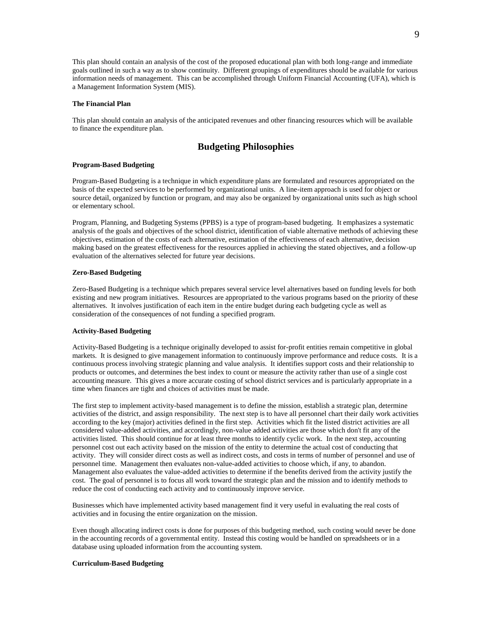This plan should contain an analysis of the cost of the proposed educational plan with both long-range and immediate goals outlined in such a way as to show continuity. Different groupings of expenditures should be available for various information needs of management. This can be accomplished through Uniform Financial Accounting (UFA), which is a Management Information System (MIS).

#### **The Financial Plan**

This plan should contain an analysis of the anticipated revenues and other financing resources which will be available to finance the expenditure plan.

### **Budgeting Philosophies**

#### **Program-Based Budgeting**

Program-Based Budgeting is a technique in which expenditure plans are formulated and resources appropriated on the basis of the expected services to be performed by organizational units. A line-item approach is used for object or source detail, organized by function or program, and may also be organized by organizational units such as high school or elementary school.

Program, Planning, and Budgeting Systems (PPBS) is a type of program-based budgeting. It emphasizes a systematic analysis of the goals and objectives of the school district, identification of viable alternative methods of achieving these objectives, estimation of the costs of each alternative, estimation of the effectiveness of each alternative, decision making based on the greatest effectiveness for the resources applied in achieving the stated objectives, and a follow-up evaluation of the alternatives selected for future year decisions.

#### **Zero-Based Budgeting**

Zero-Based Budgeting is a technique which prepares several service level alternatives based on funding levels for both existing and new program initiatives. Resources are appropriated to the various programs based on the priority of these alternatives. It involves justification of each item in the entire budget during each budgeting cycle as well as consideration of the consequences of not funding a specified program.

#### **Activity-Based Budgeting**

Activity-Based Budgeting is a technique originally developed to assist for-profit entities remain competitive in global markets. It is designed to give management information to continuously improve performance and reduce costs. It is a continuous process involving strategic planning and value analysis. It identifies support costs and their relationship to products or outcomes, and determines the best index to count or measure the activity rather than use of a single cost accounting measure. This gives a more accurate costing of school district services and is particularly appropriate in a time when finances are tight and choices of activities must be made.

The first step to implement activity-based management is to define the mission, establish a strategic plan, determine activities of the district, and assign responsibility. The next step is to have all personnel chart their daily work activities according to the key (major) activities defined in the first step. Activities which fit the listed district activities are all considered value-added activities, and accordingly, non-value added activities are those which don't fit any of the activities listed. This should continue for at least three months to identify cyclic work. In the next step, accounting personnel cost out each activity based on the mission of the entity to determine the actual cost of conducting that activity. They will consider direct costs as well as indirect costs, and costs in terms of number of personnel and use of personnel time. Management then evaluates non-value-added activities to choose which, if any, to abandon. Management also evaluates the value-added activities to determine if the benefits derived from the activity justify the cost. The goal of personnel is to focus all work toward the strategic plan and the mission and to identify methods to reduce the cost of conducting each activity and to continuously improve service.

Businesses which have implemented activity based management find it very useful in evaluating the real costs of activities and in focusing the entire organization on the mission.

Even though allocating indirect costs is done for purposes of this budgeting method, such costing would never be done in the accounting records of a governmental entity. Instead this costing would be handled on spreadsheets or in a database using uploaded information from the accounting system.

#### **Curriculum-Based Budgeting**